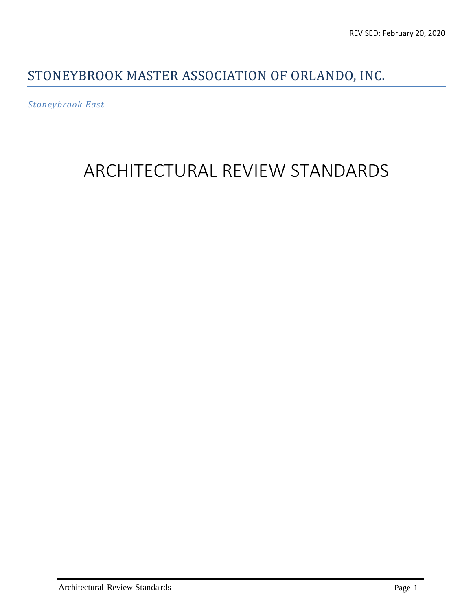#### STONEYBROOK MASTER ASSOCIATION OF ORLANDO, INC.

*Stoneybrook East* 

# ARCHITECTURAL REVIEW STANDARDS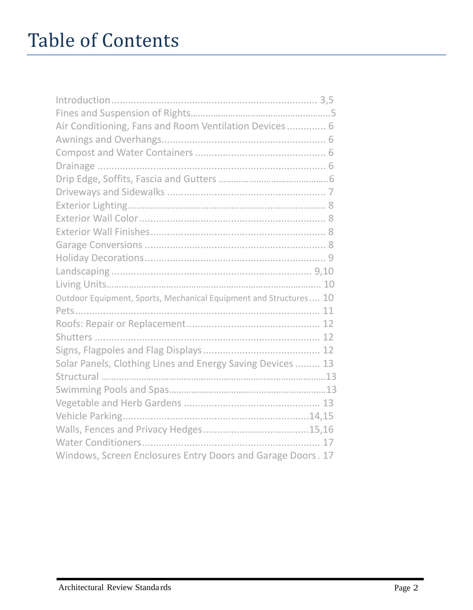# Table of Contents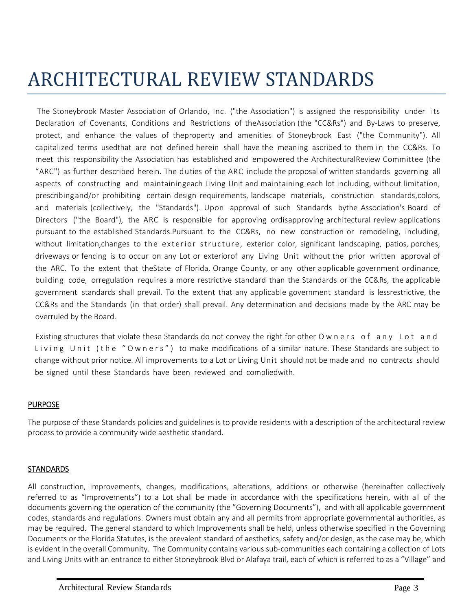# ARCHITECTURAL REVIEW STANDARDS

The Stoneybrook Master Association of Orlando, Inc. ("the Association") is assigned the responsibility under its Declaration of Covenants, Conditions and Restrictions of the Association (the "CC&Rs") and By-Laws to preserve, protect, and enhance the values of the property and amenities of Stoneybrook East ("the Community"). All capitalized terms used that are not defined herein shall have the meaning ascribed to them in the CC&Rs. To meet this responsibility the Association has established and empowered the Architectural Review Committee (the "ARC") as further described herein. The duties of the ARC include the proposal of written standards governing all aspects of constructing and maintainingeach Living Unit and maintaining each lot including, without limitation, prescribing and/or prohibiting certain design requirements, landscape materials, construction standards, colors, and materials (collectively, the "Standards"). Upon approval of such Standards by the Association's Board of Directors ("the Board"), the ARC is responsible for approving ordisapproving architectural review applications pursuant to the established Standards. Pursuant to the CC&Rs, no new construction or remodeling, including, without limitation, changes to the exterior structure, exterior color, significant landscaping, patios, porches, driveways or fencing is to occur on any Lot or exteriorof any Living Unit without the prior written approval of the ARC. To the extent that the State of Florida, Orange County, or any other applicable government ordinance, building code, or regulation requires a more restrictive standard than the Standards or the CC&Rs, the applicable government standards shall prevail. To the extent that any applicable government standard is lessrestrictive, the CC&Rs and the Standards (in that order) shall prevail. Any determination and decisions made by the ARC may be overruled by the Board.

Existing structures that violate these Standards do not convey the right for other O w n e r s o f a n y L o t a n d Living Unit (the "Owners") to make modifications of a similar nature. These Standards are subject to change without prior notice. All improvements to a Lot or Living Unit should not be made and no contracts should be signed until these Standards have been reviewed and complied with.

#### PURPOSE

The purpose of these Standards policies and guidelines is to provide residents with a description of the architectural review process to provide a community wide aesthetic standard.

#### STANDARDS

All construction, improvements, changes, modifications, alterations, additions or otherwise (hereinafter collectively referred to as "Improvements") to a Lot shall be made in accordance with the specifications herein, with all of the documents governing the operation of the community (the "Governing Documents"), and with all applicable government codes, standards and regulations. Owners must obtain any and all permits from appropriate governmental authorities, as may be required. The general standard to which Improvements shall be held, unless otherwise specified in the Governing Documents or the Florida Statutes, is the prevalent standard of aesthetics, safety and/or design, as the case may be, which is evident in the overall Community. The Community contains various sub-communities each containing a collection of Lots and Living Units with an entrance to either Stoneybrook Blvd or Alafaya trail, each of which is referred to as a "Village" and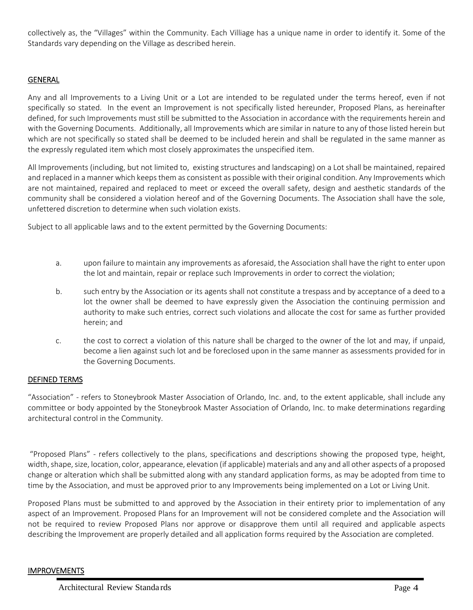collectively as, the "Villages" within the Community. Each Villiage has a unique name in order to identify it. Some of the Standards vary depending on the Village as described herein.

#### GENERAL

Any and all Improvements to a Living Unit or a Lot are intended to be regulated under the terms hereof, even if not specifically so stated. In the event an Improvement is not specifically listed hereunder, Proposed Plans, as hereinafter defined, for such Improvements must still be submitted to the Association in accordance with the requirements herein and with the Governing Documents. Additionally, all Improvements which are similar in nature to any of those listed herein but which are not specifically so stated shall be deemed to be included herein and shall be regulated in the same manner as the expressly regulated item which most closely approximates the unspecified item.

All Improvements (including, but not limited to, existing structures and landscaping) on a Lot shall be maintained, repaired and replaced in a manner which keeps them as consistent as possible with their original condition. Any Improvements which are not maintained, repaired and replaced to meet or exceed the overall safety, design and aesthetic standards of the community shall be considered a violation hereof and of the Governing Documents. The Association shall have the sole, unfettered discretion to determine when such violation exists.

Subject to all applicable laws and to the extent permitted by the Governing Documents:

- a. upon failure to maintain any improvements as aforesaid, the Association shall have the right to enter upon the lot and maintain, repair or replace such Improvements in order to correct the violation;
- b. such entry by the Association or its agents shall not constitute a trespass and by acceptance of a deed to a lot the owner shall be deemed to have expressly given the Association the continuing permission and authority to make such entries, correct such violations and allocate the cost for same as further provided herein; and
- c. the cost to correct a violation of this nature shall be charged to the owner of the lot and may, if unpaid, become a lien against such lot and be foreclosed upon in the same manner as assessments provided for in the Governing Documents.

#### DEFINED TERMS

"Association" - refers to Stoneybrook Master Association of Orlando, Inc. and, to the extent applicable, shall include any committee or body appointed by the Stoneybrook Master Association of Orlando, Inc. to make determinations regarding architectural control in the Community.

 "Proposed Plans" - refers collectively to the plans, specifications and descriptions showing the proposed type, height, width, shape, size, location, color, appearance, elevation (if applicable) materials and any and all other aspects of a proposed change or alteration which shall be submitted along with any standard application forms, as may be adopted from time to time by the Association, and must be approved prior to any Improvements being implemented on a Lot or Living Unit.

Proposed Plans must be submitted to and approved by the Association in their entirety prior to implementation of any aspect of an Improvement. Proposed Plans for an Improvement will not be considered complete and the Association will not be required to review Proposed Plans nor approve or disapprove them until all required and applicable aspects describing the Improvement are properly detailed and all application forms required by the Association are completed.

#### IMPROVEMENTS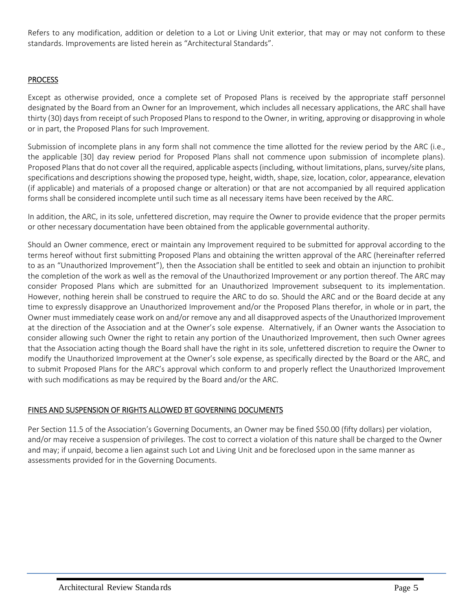Refers to any modification, addition or deletion to a Lot or Living Unit exterior, that may or may not conform to these standards. Improvements are listed herein as "Architectural Standards".

#### **PROCESS**

Except as otherwise provided, once a complete set of Proposed Plans is received by the appropriate staff personnel designated by the Board from an Owner for an Improvement, which includes all necessary applications, the ARC shall have thirty (30) days from receipt of such Proposed Plans to respond to the Owner, in writing, approving or disapproving in whole or in part, the Proposed Plans for such Improvement.

Submission of incomplete plans in any form shall not commence the time allotted for the review period by the ARC (i.e., the applicable [30] day review period for Proposed Plans shall not commence upon submission of incomplete plans). Proposed Plans that do not cover all the required, applicable aspects (including, without limitations, plans, survey/site plans, specifications and descriptions showing the proposed type, height, width, shape, size, location, color, appearance, elevation (if applicable) and materials of a proposed change or alteration) or that are not accompanied by all required application forms shall be considered incomplete until such time as all necessary items have been received by the ARC.

In addition, the ARC, in its sole, unfettered discretion, may require the Owner to provide evidence that the proper permits or other necessary documentation have been obtained from the applicable governmental authority.

Should an Owner commence, erect or maintain any Improvement required to be submitted for approval according to the terms hereof without first submitting Proposed Plans and obtaining the written approval of the ARC (hereinafter referred to as an "Unauthorized Improvement"), then the Association shall be entitled to seek and obtain an injunction to prohibit the completion of the work as well as the removal of the Unauthorized Improvement or any portion thereof. The ARC may consider Proposed Plans which are submitted for an Unauthorized Improvement subsequent to its implementation. However, nothing herein shall be construed to require the ARC to do so. Should the ARC and or the Board decide at any time to expressly disapprove an Unauthorized Improvement and/or the Proposed Plans therefor, in whole or in part, the Owner must immediately cease work on and/or remove any and all disapproved aspects of the Unauthorized Improvement at the direction of the Association and at the Owner's sole expense. Alternatively, if an Owner wants the Association to consider allowing such Owner the right to retain any portion of the Unauthorized Improvement, then such Owner agrees that the Association acting though the Board shall have the right in its sole, unfettered discretion to require the Owner to modify the Unauthorized Improvement at the Owner's sole expense, as specifically directed by the Board or the ARC, and to submit Proposed Plans for the ARC's approval which conform to and properly reflect the Unauthorized Improvement with such modifications as may be required by the Board and/or the ARC.

#### FINES AND SUSPENSION OF RIGHTS ALLOWED BT GOVERNING DOCUMENTS

Per Section 11.5 of the Association's Governing Documents, an Owner may be fined \$50.00 (fifty dollars) per violation, and/or may receive a suspension of privileges. The cost to correct a violation of this nature shall be charged to the Owner and may; if unpaid, become a lien against such Lot and Living Unit and be foreclosed upon in the same manner as assessments provided for in the Governing Documents.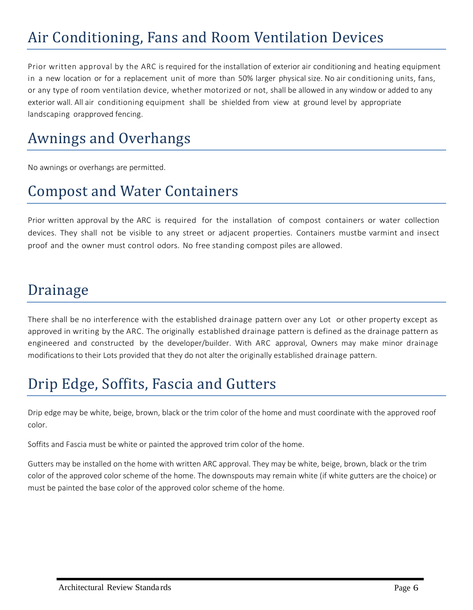# Air Conditioning, Fans and Room Ventilation Devices

Prior written approval by the ARC is required for the installation of exterior air conditioning and heating equipment in a new location or for a replacement unit of more than 50% larger physical size. No air conditioning units, fans, or any type of room ventilation device, whether motorized or not, shall be allowed in any window or added to any exterior wall. All air conditioning equipment shall be shielded from view at ground level by appropriate landscaping or approved fencing.

### Awnings and Overhangs

No awnings or overhangs are permitted.

#### Compost and Water Containers

Prior written approval by the ARC is required for the installation of compost containers or water collection devices. They shall not be visible to any street or adjacent properties. Containers mustbe varmint and insect proof and the owner must control odors. No free standing compost piles are allowed.

#### Drainage

There shall be no interference with the established drainage pattern over any Lot or other property except as approved in writing by the ARC. The originally established drainage pattern is defined as the drainage pattern as engineered and constructed by the developer/builder. With ARC approval, Owners may make minor drainage modifications to their Lots provided that they do not alter the originally established drainage pattern.

### Drip Edge, Soffits, Fascia and Gutters

Drip edge may be white, beige, brown, black or the trim color of the home and must coordinate with the approved roof color.

Soffits and Fascia must be white or painted the approved trim color of the home.

Gutters may be installed on the home with written ARC approval. They may be white, beige, brown, black or the trim color of the approved color scheme of the home. The downspouts may remain white (if white gutters are the choice) or must be painted the base color of the approved color scheme of the home.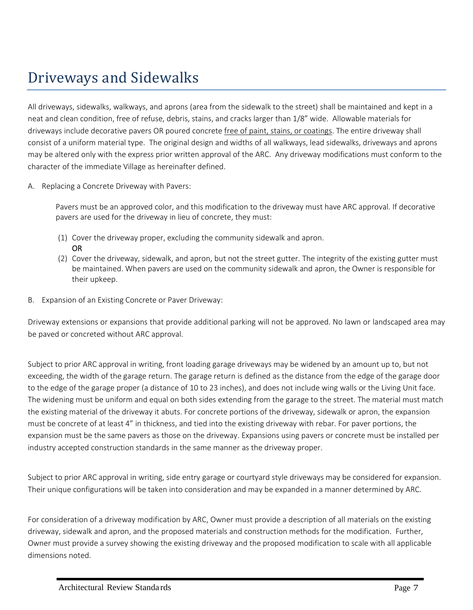### Driveways and Sidewalks

All driveways, sidewalks, walkways, and aprons (area from the sidewalk to the street) shall be maintained and kept in a neat and clean condition, free of refuse, debris, stains, and cracks larger than 1/8" wide. Allowable materials for driveways include decorative pavers OR poured concrete free of paint, stains, or coatings. The entire driveway shall consist of a uniform material type. The original design and widths of all walkways, lead sidewalks, driveways and aprons may be altered only with the express prior written approval of the ARC. Any driveway modifications must conform to the character of the immediate Village as hereinafter defined.

A. Replacing a Concrete Driveway with Pavers:

Pavers must be an approved color, and this modification to the driveway must have ARC approval. If decorative pavers are used for the driveway in lieu of concrete, they must:

- (1) Cover the driveway proper, excluding the community sidewalk and apron. OR
- (2) Cover the driveway, sidewalk, and apron, but not the street gutter. The integrity of the existing gutter must be maintained. When pavers are used on the community sidewalk and apron, the Owner is responsible for their upkeep.
- B. Expansion of an Existing Concrete or Paver Driveway:

Driveway extensions or expansions that provide additional parking will not be approved. No lawn or landscaped area may be paved or concreted without ARC approval.

Subject to prior ARC approval in writing, front loading garage driveways may be widened by an amount up to, but not exceeding, the width of the garage return. The garage return is defined as the distance from the edge of the garage door to the edge of the garage proper (a distance of 10 to 23 inches), and does not include wing walls or the Living Unit face. The widening must be uniform and equal on both sides extending from the garage to the street. The material must match the existing material of the driveway it abuts. For concrete portions of the driveway, sidewalk or apron, the expansion must be concrete of at least 4" in thickness, and tied into the existing driveway with rebar. For paver portions, the expansion must be the same pavers as those on the driveway. Expansions using pavers or concrete must be installed per industry accepted construction standards in the same manner as the driveway proper.

Subject to prior ARC approval in writing, side entry garage or courtyard style driveways may be considered for expansion. Their unique configurations will be taken into consideration and may be expanded in a manner determined by ARC.

For consideration of a driveway modification by ARC, Owner must provide a description of all materials on the existing driveway, sidewalk and apron, and the proposed materials and construction methods for the modification. Further, Owner must provide a survey showing the existing driveway and the proposed modification to scale with all applicable dimensions noted.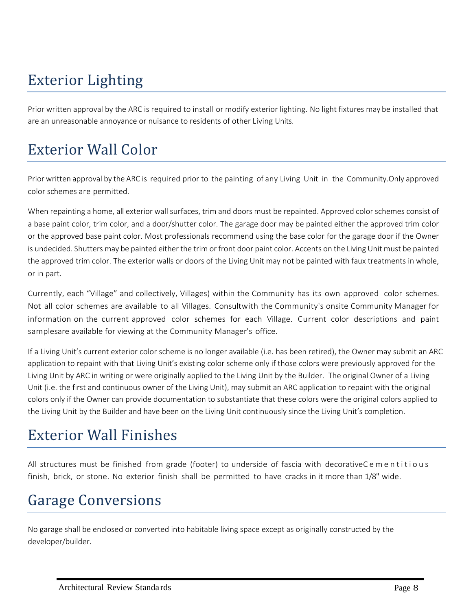# Exterior Lighting

Prior written approval by the ARC is required to install or modify exterior lighting. No light fixtures may be installed that are an unreasonable annoyance or nuisance to residents of other Living Units.

### Exterior Wall Color

Prior written approval by the ARC is required prior to the painting of any Living Unit in the Community. Only approved color schemes are permitted.

When repainting a home, all exterior wall surfaces, trim and doors must be repainted. Approved color schemes consist of a base paint color, trim color, and a door/shutter color. The garage door may be painted either the approved trim color or the approved base paint color. Most professionals recommend using the base color for the garage door if the Owner is undecided. Shutters may be painted either the trim or front door paint color. Accents on the Living Unit must be painted the approved trim color. The exterior walls or doors of the Living Unit may not be painted with faux treatments in whole, or in part.

Currently, each "Village" and collectively, Villages) within the Community has its own approved color schemes. Not all color schemes are available to all Villages. Consultwith the Community's onsite Community Manager for information on the current approved color schemes for each Village. Current color descriptions and paint samplesare available for viewing at the Community Manager's office.

If a Living Unit's current exterior color scheme is no longer available (i.e. has been retired), the Owner may submit an ARC application to repaint with that Living Unit's existing color scheme only if those colors were previously approved for the Living Unit by ARC in writing or were originally applied to the Living Unit by the Builder. The original Owner of a Living Unit (i.e. the first and continuous owner of the Living Unit), may submit an ARC application to repaint with the original colors only if the Owner can provide documentation to substantiate that these colors were the original colors applied to the Living Unit by the Builder and have been on the Living Unit continuously since the Living Unit's completion.

### Exterior Wall Finishes

All structures must be finished from grade (footer) to underside of fascia with decorative C e m e n titious finish, brick, or stone. No exterior finish shall be permitted to have cracks in it more than 1/8" wide.

# Garage Conversions

No garage shall be enclosed or converted into habitable living space except as originally constructed by the developer/builder.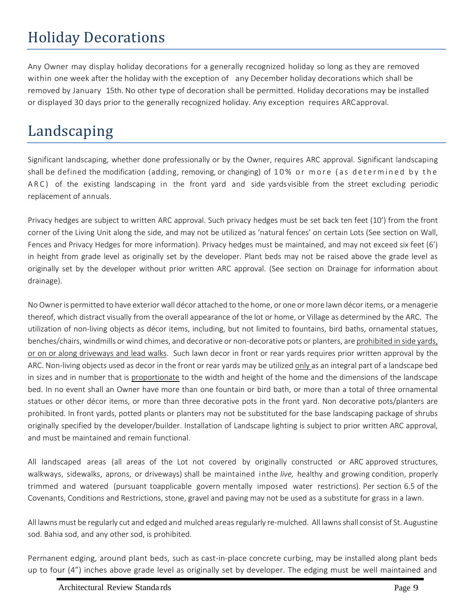# Holiday Decorations

Any Owner may display holiday decorations for a generally recognized holiday so long as they are removed within one week after the holiday with the exception of any December holiday decorations which shall be removed by January 15th. No other type of decoration shall be permitted. Holiday decorations may be installed or displayed 30 days prior to the generally recognized holiday. Any exception requires ARC approval.

### Landscaping

Significant landscaping, whether done professionally or by the Owner, requires ARC approval. Significant landscaping shall be defined the modification (adding, removing, or changing) of 10% or more (as determined by the ARC) of the existing landscaping in the front yard and side yards visible from the street excluding periodic replacement of annuals.

Privacy hedges are subject to written ARC approval. Such privacy hedges must be set back ten feet (10') from the front corner of the Living Unit along the side, and may not be utilized as 'natural fences' on certain Lots (See section on Wall, Fences and Privacy Hedges for more information). Privacy hedges must be maintained, and may not exceed six feet (6') in height from grade level as originally set by the developer. Plant beds may not be raised above the grade level as originally set by the developer without prior written ARC approval. (See section on Drainage for information about drainage).

No Owner is permitted to have exterior wall décor attached to the home, or one or more lawn décor items, or a menagerie thereof, which distract visually from the overall appearance of the lot or home, or Village as determined by the ARC. The utilization of non-living objects as décor items, including, but not limited to fountains, bird baths, ornamental statues, benches/chairs, windmills or wind chimes, and decorative or non-decorative pots or planters, are prohibited in side yards, or on or along driveways and lead walks. Such lawn decor in front or rear yards requires prior written approval by the ARC. Non-living objects used as decor in the front or rear yards may be utilized only as an integral part of a landscape bed in sizes and in number that is proportionate to the width and height of the home and the dimensions of the landscape bed. In no event shall an Owner have more than one fountain or bird bath, or more than a total of three ornamental statues or other décor items, or more than three decorative pots in the front yard. Non decorative pots/planters are prohibited. In front yards, potted plants or planters may not be substituted for the base landscaping package of shrubs originally specified by the developer/builder. Installation of Landscape lighting is subject to prior written ARC approval, and must be maintained and remain functional.

All landscaped areas (all areas of the Lot not covered by originally constructed or ARC approved structures, walkways, sidewalks, aprons, or driveways) shall be maintained in the *live,* healthy and growing condition, properly trimmed and watered (pursuant toapplicable govern mentally imposed water restrictions). Per section 6.5 of the Covenants, Conditions and Restrictions, stone, gravel and paving may not be used as a substitute for grass in a lawn.

All lawns must be regularly cut and edged and mulched areas regularly re-mulched. All lawns shall consist of St. Augustine sod. Bahia sod, and any other sod, is prohibited.

Permanent edging, around plant beds, such as cast-in-place concrete curbing, may be installed along plant beds up to four (4") inches above grade level as originally set by developer. The edging must be well maintained and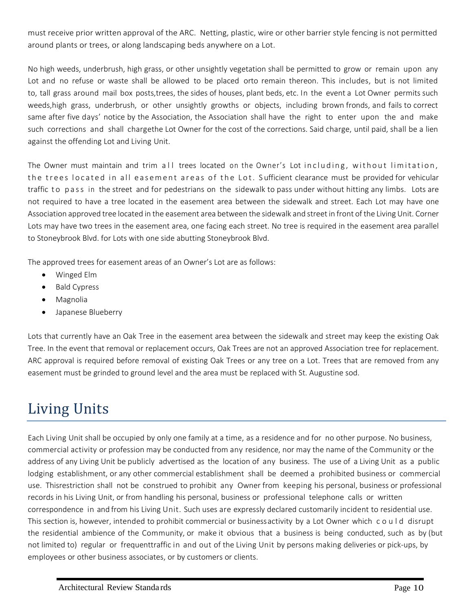must receive prior written approval of the ARC. Netting, plastic, wire or other barrier style fencing is not permitted around plants or trees, or along landscaping beds anywhere on a Lot.

No high weeds, underbrush, high grass, or other unsightly vegetation shall be permitted to grow or remain upon any Lot and no refuse or waste shall be allowed to be placed orto remain thereon. This includes, but is not limited to, tall grass around mail box posts, trees, the sides of houses, plant beds, etc. In the event a Lot Owner permits such weeds, high grass, underbrush, or other unsightly growths or objects, including brown fronds, and fails to correct same after five days' notice by the Association, the Association shall have the right to enter upon the and make such corrections and shall charge the Lot Owner for the cost of the corrections. Said charge, until paid, shall be a lien against the offending Lot and Living Unit.

The Owner must maintain and trim all trees located on the Owner's Lot including, without limitation, the trees located in all easement areas of the Lot. Sufficient clearance must be provided for vehicular traffic to pass in the street and for pedestrians on the sidewalk to pass under without hitting any limbs. Lots are not required to have a tree located in the easement area between the sidewalk and street. Each Lot may have one Association approved tree located in the easement area between the sidewalk and street in front of the Living Unit. Corner Lots may have two trees in the easement area, one facing each street. No tree is required in the easement area parallel to Stoneybrook Blvd. for Lots with one side abutting Stoneybrook Blvd.

The approved trees for easement areas of an Owner's Lot are as follows:

- Winged Elm
- Bald Cypress
- Magnolia
- Japanese Blueberry

Lots that currently have an Oak Tree in the easement area between the sidewalk and street may keep the existing Oak Tree. In the event that removal or replacement occurs, Oak Trees are not an approved Association tree for replacement. ARC approval is required before removal of existing Oak Trees or any tree on a Lot. Trees that are removed from any easement must be grinded to ground level and the area must be replaced with St. Augustine sod.

# Living Units

Each Living Unit shall be occupied by only one family at a time, as a residence and for no other purpose. No business, commercial activity or profession may be conducted from any residence, nor may the name of the Community or the address of any Living Unit be publicly advertised as the location of any business. The use of a Living Unit as a public lodging establishment, or any other commercial establishment shall be deemed a prohibited business or commercial use. This restriction shall not be construed to prohibit any Owner from keeping his personal, business or professional records in his Living Unit, or from handling his personal, business or professional telephone calls or written correspondence in and from his Living Unit. Such uses are expressly declared customarily incident to residential use. This section is, however, intended to prohibit commercial or business activity by a Lot Owner which c o u l d disrupt the residential ambience of the Community, or make it obvious that a business is being conducted, such as by (but not limited to) regular or frequenttraffic in and out of the Living Unit by persons making deliveries or pick-ups, by employees or other business associates, or by customers or clients.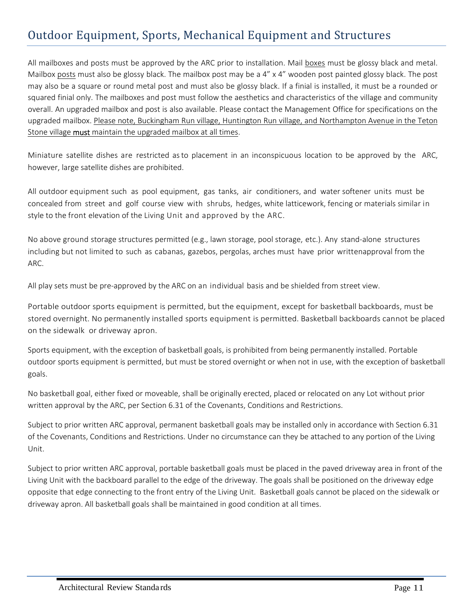#### Outdoor Equipment, Sports, Mechanical Equipment and Structures

All mailboxes and posts must be approved by the ARC prior to installation. Mail boxes must be glossy black and metal. Mailbox posts must also be glossy black. The mailbox post may be a 4" x 4" wooden post painted glossy black. The post may also be a square or round metal post and must also be glossy black. If a finial is installed, it must be a rounded or squared finial only. The mailboxes and post must follow the aesthetics and characteristics of the village and community overall. An upgraded mailbox and post is also available. Please contact the Management Office for specifications on the upgraded mailbox. Please note, Buckingham Run village, Huntington Run village, and Northampton Avenue in the Teton Stone village must maintain the upgraded mailbox at all times.

Miniature satellite dishes are restricted as to placement in an inconspicuous location to be approved by the ARC, however, large satellite dishes are prohibited.

All outdoor equipment such as pool equipment, gas tanks, air conditioners, and water softener units must be concealed from street and golf course view with shrubs, hedges, white latticework, fencing or materials similar in style to the front elevation of the Living Unit and approved by the ARC.

No above ground storage structures permitted (e.g., lawn storage, pool storage, etc.). Any stand-alone structures including but not limited to such as cabanas, gazebos, pergolas, arches must have prior written approval from the ARC.

All play sets must be pre-approved by the ARC on an individual basis and be shielded from street view.

Portable outdoor sports equipment is permitted, but the equipment, except for basketball backboards, must be stored overnight. No permanently installed sports equipment is permitted. Basketball backboards cannot be placed on the sidewalk or driveway apron.

Sports equipment, with the exception of basketball goals, is prohibited from being permanently installed. Portable outdoor sports equipment is permitted, but must be stored overnight or when not in use, with the exception of basketball goals.

No basketball goal, either fixed or moveable, shall be originally erected, placed or relocated on any Lot without prior written approval by the ARC, per Section 6.31 of the Covenants, Conditions and Restrictions.

Subject to prior written ARC approval, permanent basketball goals may be installed only in accordance with Section 6.31 of the Covenants, Conditions and Restrictions. Under no circumstance can they be attached to any portion of the Living Unit.

Subject to prior written ARC approval, portable basketball goals must be placed in the paved driveway area in front of the Living Unit with the backboard parallel to the edge of the driveway. The goals shall be positioned on the driveway edge opposite that edge connecting to the front entry of the Living Unit. Basketball goals cannot be placed on the sidewalk or driveway apron. All basketball goals shall be maintained in good condition at all times.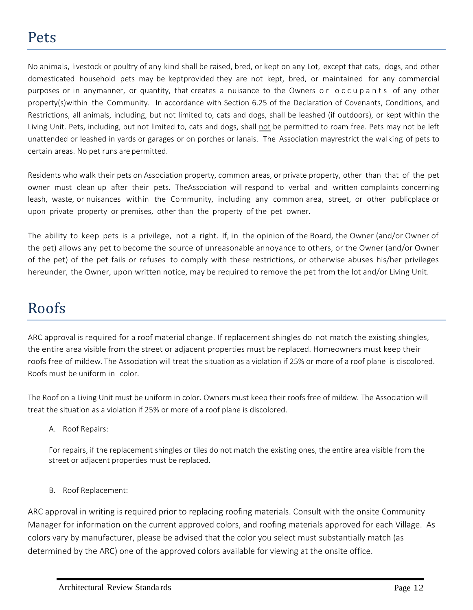No animals, livestock or poultry of any kind shall be raised, bred, or kept on any Lot, except that cats, dogs, and other domesticated household pets may be kept provided they are not kept, bred, or maintained for any commercial purposes or in anymanner, or quantity, that creates a nuisance to the Owners or occupants of any other property(s) within the Community. In accordance with Section 6.25 of the Declaration of Covenants, Conditions, and Restrictions, all animals, including, but not limited to, cats and dogs, shall be leashed (if outdoors), or kept within the Living Unit. Pets, including, but not limited to, cats and dogs, shall not be permitted to roam free. Pets may not be left unattended or leashed in yards or garages or on porches or lanais. The Association may restrict the walking of pets to certain areas. No pet runs are permitted.

Residents who walk their pets on Association property, common areas, or private property, other than that of the pet owner must clean up after their pets. The Association will respond to verbal and written complaints concerning leash, waste, or nuisances within the Community, including any common area, street, or other publicplace or upon private property or premises, other than the property of the pet owner.

The ability to keep pets is a privilege, not a right. If, in the opinion of the Board, the Owner (and/or Owner of the pet) allows any pet to become the source of unreasonable annoyance to others, or the Owner (and/or Owner of the pet) of the pet fails or refuses to comply with these restrictions, or otherwise abuses his/her privileges hereunder, the Owner, upon written notice, may be required to remove the pet from the lot and/or Living Unit.

#### Roofs

ARC approval is required for a roof material change. If replacement shingles do not match the existing shingles, the entire area visible from the street or adjacent properties must be replaced. Homeowners must keep their roofs free of mildew. The Association will treat the situation as a violation if 25% or more of a roof plane is discolored. Roofs must be uniform in color.

The Roof on a Living Unit must be uniform in color. Owners must keep their roofs free of mildew. The Association will treat the situation as a violation if 25% or more of a roof plane is discolored.

A. Roof Repairs:

For repairs, if the replacement shingles or tiles do not match the existing ones, the entire area visible from the street or adjacent properties must be replaced.

B. Roof Replacement:

ARC approval in writing is required prior to replacing roofing materials. Consult with the onsite Community Manager for information on the current approved colors, and roofing materials approved for each Village. As colors vary by manufacturer, please be advised that the color you select must substantially match (as determined by the ARC) one of the approved colors available for viewing at the onsite office.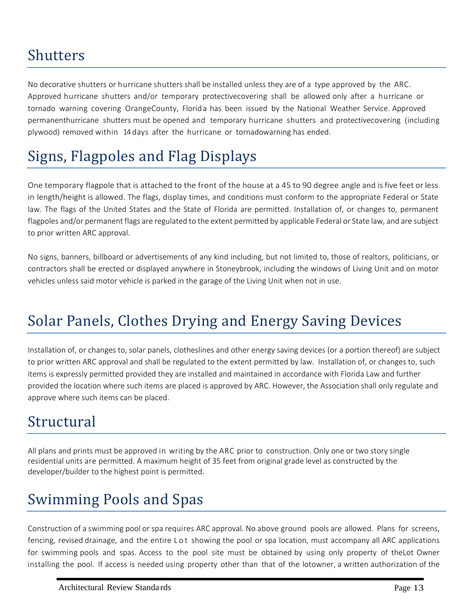#### Shutters

No decorative shutters or hurricane shutters shall be installed unless they are of a type approved by the ARC. Approved hurricane shutters and/or temporary protective covering shall be allowed only after a hurricane or tornado warning covering Orange County, Florid a has been issued by the National Weather Service. Approved permanenthurricane shutters must be opened and temporary hurricane shutters and protective covering (including plywood) removed within 14 days after the hurricane or tornadowarning has ended.

### Signs, Flagpoles and Flag Displays

One temporary flagpole that is attached to the front of the house at a 45 to 90 degree angle and is five feet or less in length/height is allowed. The flags, display times, and conditions must conform to the appropriate Federal or State law. The flags of the United States and the State of Florida are permitted. Installation of, or changes to, permanent flagpoles and/or permanent flags are regulated to the extent permitted by applicable Federal or State law, and are subject to prior written ARC approval.

No signs, banners, billboard or advertisements of any kind including, but not limited to, those of realtors, politicians, or contractors shall be erected or displayed anywhere in Stoneybrook, including the windows of Living Unit and on motor vehicles unless said motor vehicle is parked in the garage of the Living Unit when not in use.

### Solar Panels, Clothes Drying and Energy Saving Devices

Installation of, or changes to, solar panels, clotheslines and other energy saving devices (or a portion thereof) are subject to prior written ARC approval and shall be regulated to the extent permitted by law. Installation of, or changes to, such items is expressly permitted provided they are installed and maintained in accordance with Florida Law and further provided the location where such items are placed is approved by ARC. However, the Association shall only regulate and approve where such items can be placed.

### Structural

All plans and prints must be approved in writing by the ARC prior to construction. Only one or two story single residential units are permitted. A maximum height of 35 feet from original grade level as constructed by the developer/builder to the highest point is permitted.

### Swimming Pools and Spas

Construction of a swimming pool or spa requires ARC approval. No above ground pools are allowed. Plans for screens, fencing, revised drainage, and the entire Lot showing the pool or spa location, must accompany all ARC applications for swimming pools and spas. Access to the pool site must be obtained by using only property of the Lot Owner installing the pool. If access is needed using property other than that of the lotowner, a written authorization of the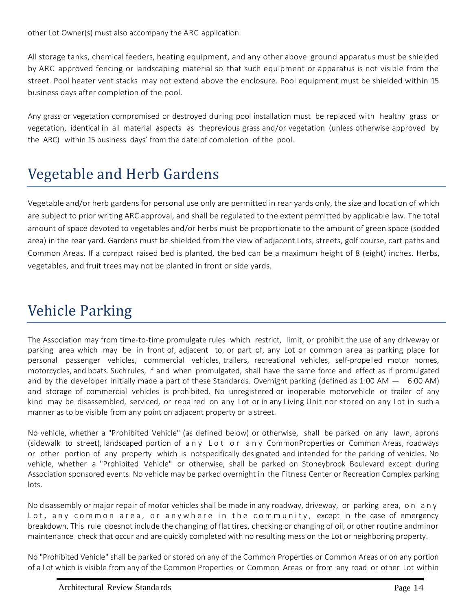other Lot Owner(s) must also accompany the ARC application.

All storage tanks, chemical feeders, heating equipment, and any other above ground apparatus must be shielded by ARC approved fencing or landscaping material so that such equipment or apparatus is not visible from the street. Pool heater vent stacks may not extend above the enclosure. Pool equipment must be shielded within 15 business days after completion of the pool.

Any grass or vegetation compromised or destroyed during pool installation must be replaced with healthy grass or vegetation, identical in all material aspects as the previous grass and/or vegetation (unless otherwise approved by the ARC) within 15 business days' from the date of completion of the pool.

# Vegetable and Herb Gardens

Vegetable and/or herb gardens for personal use only are permitted in rear yards only, the size and location of which are subject to prior writing ARC approval, and shall be regulated to the extent permitted by applicable law. The total amount of space devoted to vegetables and/or herbs must be proportionate to the amount of green space (sodded area) in the rear yard. Gardens must be shielded from the view of adjacent Lots, streets, golf course, cart paths and Common Areas. If a compact raised bed is planted, the bed can be a maximum height of 8 (eight) inches. Herbs, vegetables, and fruit trees may not be planted in front or side yards.

### Vehicle Parking

The Association may from time-to-time promulgate rules which restrict, limit, or prohibit the use of any driveway or parking area which may be in front of, adjacent to, or part of, any Lot or common area as parking place for personal passenger vehicles, commercial vehicles, trailers, recreational vehicles, self-propelled motor homes, motorcycles, and boats. Suchrules, if and when promulgated, shall have the same force and effect as if promulgated<br>and by the developer initially made a part of these Standards. Overnight parking (defined as 1:00 AM – 6:00 and storage of commercial vehicles is prohibited. No unregistered or inoperable motorvehicle or trailer of any kind may be disassembled, serviced, or repaired on any Lot or in any Living Unit nor stored on any Lot in such a manner as to be visible from any point on adjacent property or a street.

No vehicle, whether a "Prohibited Vehicle" (as defined below) or otherwise, shall be parked on any lawn, aprons (sidewalk to street), landscaped portion of a n y L o t o r a n y Common Properties or Common Areas, roadways or other portion of any property which is notspecifically designated and intended for the parking of vehicles. No vehicle, whether a "Prohibited Vehicle" or otherwise, shall be parked on Stoneybrook Boulevard except during Association sponsored events. No vehicle may be parked overnight in the Fitness Center or Recreation Complex parking lots.

No disassembly or major repair of motor vehicles shall be made in any roadway, driveway, or parking area, o n a n y Lot, any common area, or anywhere in the community, except in the case of emergency breakdown. This rule doesnot include the changing of flat tires, checking or changing of oil, or other routine and minor maintenance check that occur and are quickly completed with no resulting mess on the Lot or neighboring property.

No "Prohibited Vehicle" shall be parked or stored on any of the Common Properties or Common Areas or on any portion of a Lot which is visible from any of the Common Properties or Common Areas or from any road or other Lot within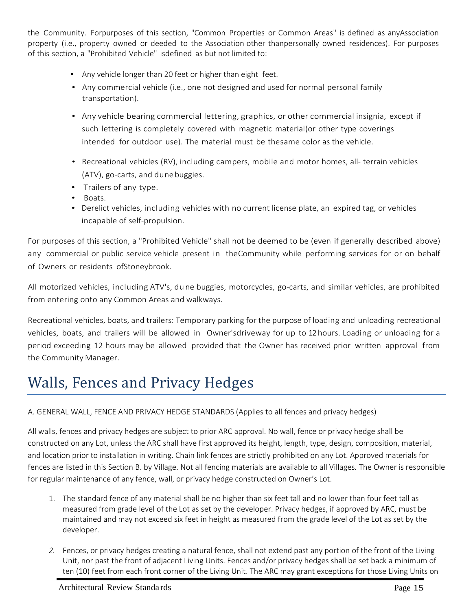the Community. Forpurposes of this section, "Common Properties or Common Areas" is defined as any Association property (i.e., property owned or deeded to the Association other than personally owned residences). For purposes of this section, a "Prohibited Vehicle" is defined as but not limited to:

- Any vehicle longer than 20 feet or higher than eight feet.
- Any commercial vehicle (i.e., one not designed and used for normal personal family transportation).
- Any vehicle bearing commercial lettering, graphics, or other commercial insignia, except if such lettering is completely covered with magnetic material (or other type coverings intended for outdoor use). The material must be the same color as the vehicle.
- Recreational vehicles (RV), including campers, mobile and motor homes, all- terrain vehicles (ATV), go-carts, and dune buggies.
- Trailers of any type.
- Boats.
- Derelict vehicles, including vehicles with no current license plate, an expired tag, or vehicles incapable of self-propulsion.

For purposes of this section, a "Prohibited Vehicle" shall not be deemed to be (even if generally described above) any commercial or public service vehicle present in the Community while performing services for or on behalf of Owners or residents of Stoneybrook.

All motorized vehicles, including ATV's, du ne buggies, motorcycles, go-carts, and similar vehicles, are prohibited from entering onto any Common Areas and walkways.

Recreational vehicles, boats, and trailers: Temporary parking for the purpose of loading and unloading recreational vehicles, boats, and trailers will be allowed in Owner's driveway for up to 12 hours. Loading or unloading for a period exceeding 12 hours may be allowed provided that the Owner has received prior written approval from the Community Manager.

# Walls, Fences and Privacy Hedges

A. GENERAL WALL, FENCE AND PRIVACY HEDGE STANDARDS (Applies to all fences and privacy hedges)

All walls, fences and privacy hedges are subject to prior ARC approval. No wall, fence or privacy hedge shall be constructed on any Lot, unless the ARC shall have first approved its height, length, type, design, composition, material, and location prior to installation in writing. Chain link fences are strictly prohibited on any Lot. Approved materials for fences are listed in this Section B. by Village. Not all fencing materials are available to all Villages*.* The Owner is responsible for regular maintenance of any fence, wall, or privacy hedge constructed on Owner's Lot.

- 1. The standard fence of any material shall be no higher than six feet tall and no lower than four feet tall as measured from grade level of the Lot as set by the developer. Privacy hedges, if approved by ARC, must be maintained and may not exceed six feet in height as measured from the grade level of the Lot as set by the developer.
- *2.* Fences, or privacy hedges creating a natural fence, shall not extend past any portion of the front of the Living Unit, nor past the front of adjacent Living Units. Fences and/or privacy hedges shall be set back a minimum of ten (10) feet from each front corner of the Living Unit. The ARC may grant exceptions for those Living Units on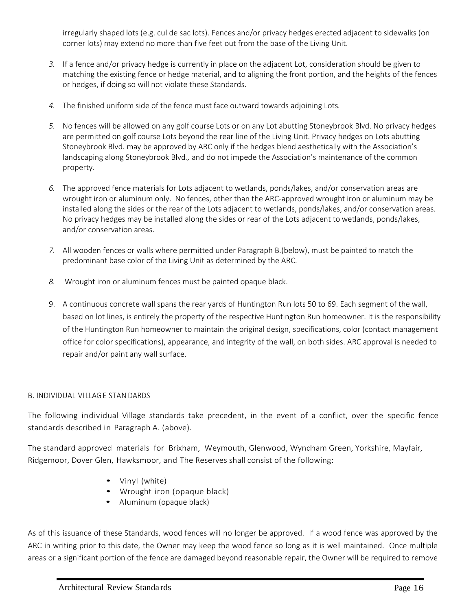irregularly shaped lots (e.g. cul de sac lots). Fences and/or privacy hedges erected adjacent to sidewalks (on corner lots) may extend no more than five feet out from the base of the Living Unit.

- *3.* If a fence and/or privacy hedge is currently in place on the adjacent Lot, consideration should be given to matching the existing fence or hedge material, and to aligning the front portion, and the heights of the fences or hedges, if doing so will not violate these Standards.
- *4.* The finished uniform side of the fence must face outward towards adjoining Lots*.*
- *5.* No fences will be allowed on any golf course Lots or on any Lot abutting Stoneybrook Blvd. No privacy hedges are permitted on golf course Lots beyond the rear line of the Living Unit. Privacy hedges on Lots abutting Stoneybrook Blvd. may be approved by ARC only if the hedges blend aesthetically with the Association's landscaping along Stoneybrook Blvd*.,* and do not impede the Association's maintenance of the common property.
- *6.* The approved fence materials for Lots adjacent to wetlands, ponds/lakes, and/or conservation areas are wrought iron or aluminum only. No fences, other than the ARC-approved wrought iron or aluminum may be installed along the sides or the rear of the Lots adjacent to wetlands, ponds/lakes, and/or conservation areas*.*  No privacy hedges may be installed along the sides or rear of the Lots adjacent to wetlands, ponds/lakes, and/or conservation areas.
- *7.* All wooden fences or walls where permitted under Paragraph B.(below), must be painted to match the predominant base color of the Living Unit as determined by the ARC.
- *8.* Wrought iron or aluminum fences must be painted opaque black.
- 9. A continuous concrete wall spans the rear yards of Huntington Run lots 50 to 69. Each segment of the wall, based on lot lines, is entirely the property of the respective Huntington Run homeowner. It is the responsibility of the Huntington Run homeowner to maintain the original design, specifications, color (contact management office for color specifications), appearance, and integrity of the wall, on both sides. ARC approval is needed to repair and/or paint any wall surface.

#### B. INDIVIDUAL VI LLAG E STAN DARDS

The following individual Village standards take precedent, in the event of a conflict, over the specific fence standards described in Paragraph A. (above).

The standard approved materials for Brixham, Weymouth, Glenwood, Wyndham Green, Yorkshire, Mayfair, Ridgemoor, Dover Glen, Hawksmoor, and The Reserves shall consist of the following:

- Vinyl (white)
- Wrought iron (opaque black)
- Aluminum (opaque black)

As of this issuance of these Standards, wood fences will no longer be approved. If a wood fence was approved by the ARC in writing prior to this date, the Owner may keep the wood fence so long as it is well maintained. Once multiple areas or a significant portion of the fence are damaged beyond reasonable repair, the Owner will be required to remove